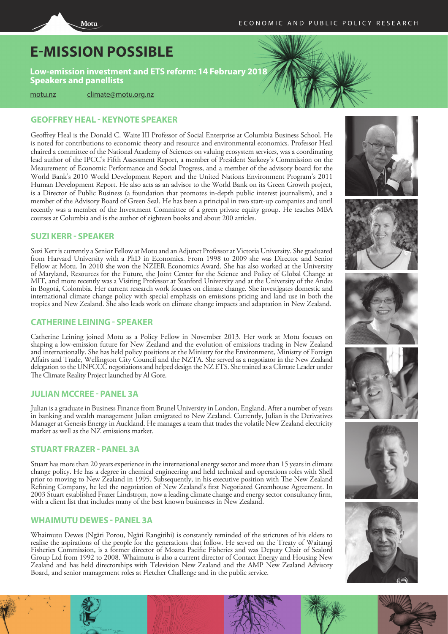# **E-MISSION POSSIBLE**

Motu

**Low-emission investment and ETS reform: 14 February 2018 Speakers and panellists**

motu.nz climate@motu.org.nz

# **GEOFFREY HEAL - KEYNOTE SPEAKER**

Geoffrey Heal is the Donald C. Waite III Professor of Social Enterprise at Columbia Business School. He is noted for contributions to economic theory and resource and environmental economics. Professor Heal chaired a committee of the National Academy of Sciences on valuing ecosystem services, was a coordinating lead author of the IPCC's Fifth Assessment Report, a member of President Sarkozy's Commission on the Meaurement of Economic Performance and Social Progress, and a member of the advisory board for the World Bank's 2010 World Development Report and the United Nations Environment Program's 2011 Human Development Report. He also acts as an advisor to the World Bank on its Green Growth project, is a Director of Public Business (a foundation that promotes in-depth public interest journalism), and a member of the Advisory Board of Green Seal. He has been a principal in two start-up companies and until recently was a member of the Investment Committee of a green private equity group. He teaches MBA courses at Columbia and is the author of eighteen books and about 200 articles.

### **SUZI KERR - SPEAKER**

Suzi Kerr is currently a Senior Fellow at Motu and an Adjunct Professor at Victoria University. She graduated from Harvard University with a PhD in Economics. From 1998 to 2009 she was Director and Senior Fellow at Motu. In 2010 she won the NZIER Economics Award. She has also worked at the University of Maryland, Resources for the Future, the Joint Center for the Science and Policy of Global Change at MIT, and more recently was a Visiting Professor at Stanford University and at the University of the Andes in Bogotá, Colombia. Her current research work focuses on climate change. She investigates domestic and international climate change policy with special emphasis on emissions pricing and land use in both the tropics and New Zealand. She also leads work on climate change impacts and adaptation in New Zealand.

# **CATHERINE LEINING - SPEAKER**

Catherine Leining joined Motu as a Policy Fellow in November 2013. Her work at Motu focuses on shaping a low-emission future for New Zealand and the evolution of emissions trading in New Zealand and internationally. She has held policy positions at the Ministry for the Environment, Ministry of Foreign Affairs and Trade, Wellington City Council and the NZTA. She served as a negotiator in the New Zealand delegation to the UNFCCC negotiations and helped design the NZ ETS. She trained as a Climate Leader under The Climate Reality Project launched by Al Gore.

## **JULIAN MCCREE - PANEL 3A**

Julian is a graduate in Business Finance from Brunel University in London, England. After a number of years in banking and wealth management Julian emigrated to New Zealand. Currently, Julian is the Derivatives Manager at Genesis Energy in Auckland. He manages a team that trades the volatile New Zealand electricity market as well as the NZ emissions market.

## **STUART FRAZER - PANEL 3A**

Stuart has more than 20 years experience in the international energy sector and more than 15 years in climate change policy. He has a degree in chemical engineering and held technical and operations roles with Shell prior to moving to New Zealand in 1995. Subsequently, in his executive position with The New Zealand Refining Company, he led the negotiation of New Zealand's first Negotiated Greenhouse Agreement. In 2003 Stuart established Frazer Lindstrom, now a leading climate change and energy sector consultancy firm, with a client list that includes many of the best known businesses in New Zealand.

## **WHAIMUTU DEWES - PANEL 3A**

Whaimutu Dewes (Ngāti Porou, Ngāti Rangitihi) is constantly reminded of the strictures of his elders to realise the aspirations of the people for the generations that follow. He served on the Treaty of Waitangi Fisheries Commission, is a former director of Moana Pacific Fisheries and was Deputy Chair of Sealord Group Ltd from 1992 to 2008. Whaimutu is also a current director of Contact Energy and Housing New Zealand and has held directorships with Television New Zealand and the AMP New Zealand Advisory Board, and senior management roles at Fletcher Challenge and in the public service.